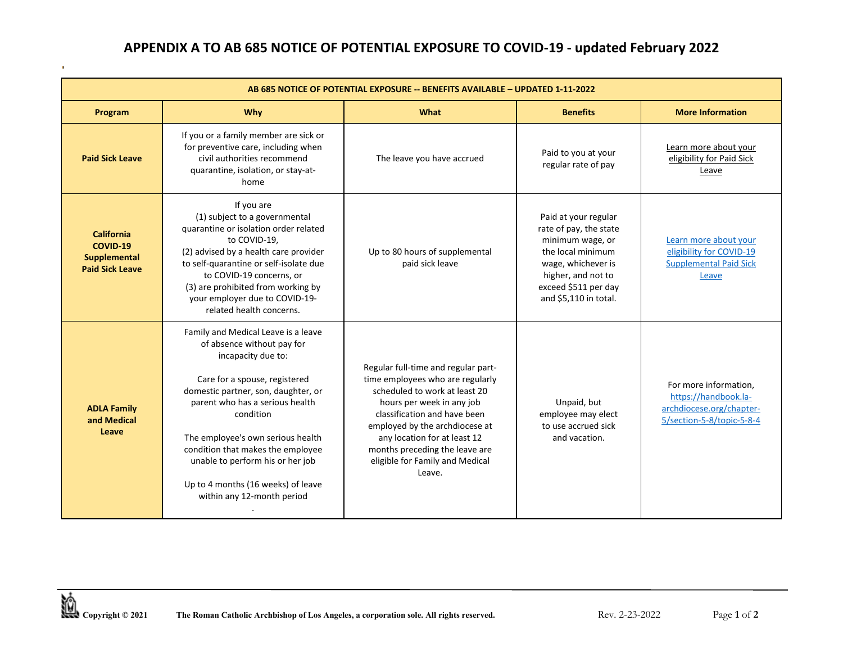## **APPENDIX A TO AB 685 NOTICE OF POTENTIAL EXPOSURE TO COVID-19 - updated February 2022**

| AB 685 NOTICE OF POTENTIAL EXPOSURE -- BENEFITS AVAILABLE - UPDATED 1-11-2022 |                                                                                                                                                                                                                                                                                                                                                                                                   |                                                                                                                                                                                                                                                                                                                        |                                                                                                                                                                                      |                                                                                                        |  |  |
|-------------------------------------------------------------------------------|---------------------------------------------------------------------------------------------------------------------------------------------------------------------------------------------------------------------------------------------------------------------------------------------------------------------------------------------------------------------------------------------------|------------------------------------------------------------------------------------------------------------------------------------------------------------------------------------------------------------------------------------------------------------------------------------------------------------------------|--------------------------------------------------------------------------------------------------------------------------------------------------------------------------------------|--------------------------------------------------------------------------------------------------------|--|--|
| Program                                                                       | <b>Why</b>                                                                                                                                                                                                                                                                                                                                                                                        | What                                                                                                                                                                                                                                                                                                                   | <b>Benefits</b>                                                                                                                                                                      | <b>More Information</b>                                                                                |  |  |
| <b>Paid Sick Leave</b>                                                        | If you or a family member are sick or<br>for preventive care, including when<br>civil authorities recommend<br>quarantine, isolation, or stay-at-<br>home                                                                                                                                                                                                                                         | The leave you have accrued                                                                                                                                                                                                                                                                                             | Paid to you at your<br>regular rate of pay                                                                                                                                           | Learn more about your<br>eligibility for Paid Sick<br>Leave                                            |  |  |
| California<br>COVID-19<br><b>Supplemental</b><br><b>Paid Sick Leave</b>       | If you are<br>(1) subject to a governmental<br>quarantine or isolation order related<br>to COVID-19,<br>(2) advised by a health care provider<br>to self-quarantine or self-isolate due<br>to COVID-19 concerns, or<br>(3) are prohibited from working by<br>your employer due to COVID-19-<br>related health concerns.                                                                           | Up to 80 hours of supplemental<br>paid sick leave                                                                                                                                                                                                                                                                      | Paid at your regular<br>rate of pay, the state<br>minimum wage, or<br>the local minimum<br>wage, whichever is<br>higher, and not to<br>exceed \$511 per day<br>and \$5,110 in total. | Learn more about your<br>eligibility for COVID-19<br><b>Supplemental Paid Sick</b><br>Leave            |  |  |
| <b>ADLA Family</b><br>and Medical<br>Leave                                    | Family and Medical Leave is a leave<br>of absence without pay for<br>incapacity due to:<br>Care for a spouse, registered<br>domestic partner, son, daughter, or<br>parent who has a serious health<br>condition<br>The employee's own serious health<br>condition that makes the employee<br>unable to perform his or her job<br>Up to 4 months (16 weeks) of leave<br>within any 12-month period | Regular full-time and regular part-<br>time employees who are regularly<br>scheduled to work at least 20<br>hours per week in any job<br>classification and have been<br>employed by the archdiocese at<br>any location for at least 12<br>months preceding the leave are<br>eligible for Family and Medical<br>Leave. | Unpaid, but<br>employee may elect<br>to use accrued sick<br>and vacation.                                                                                                            | For more information,<br>https://handbook.la-<br>archdiocese.org/chapter-<br>5/section-5-8/topic-5-8-4 |  |  |

þ,